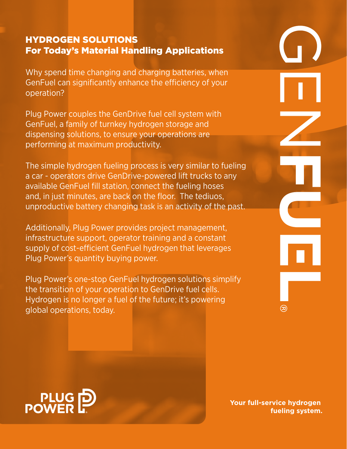# Hydrogen solutions For Today's Material Handling Applications

Why spend time changing and charging batteries, when GenFuel can significantly enhance the efficiency of your operation?

Plug Power couples the GenDrive fuel cell system with GenFuel, a family of turnkey hydrogen storage and dispensing solutions, to ensure your operations are performing at maximum productivity.

The simple hydrogen fueling process is very similar to fueling a car - operators drive GenDrive-powered lift trucks to any available GenFuel fill station, connect the fueling hoses and, in just minutes, are back on the floor. The tediuos, unproductive battery changing task is an activity of the past.

Additionally, Plug Power provides project management, infrastructure support, operator training and a constant supply of cost-efficient GenFuel hydrogen that leverages Plug Power's quantity buying power.

Plug Power's one-stop GenFuel hydrogen solutions simplify the transition of your operation to GenDrive fuel cells. Hydrogen is no longer a fuel of the future; it's powering global operations, today.





**Your full-service hydrogen fueling system.**